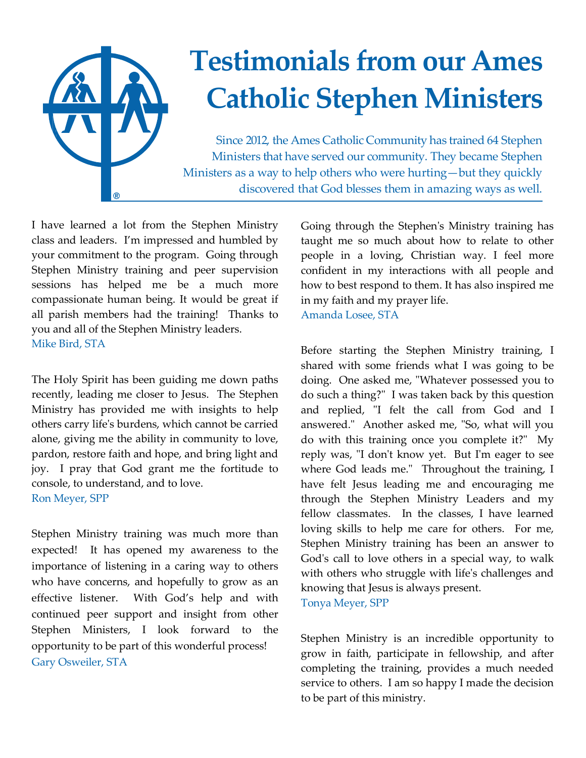

I have learned a lot from the Stephen Ministry class and leaders. I'm impressed and humbled by your commitment to the program. Going through Stephen Ministry training and peer supervision sessions has helped me be a much more compassionate human being. It would be great if all parish members had the training! Thanks to you and all of the Stephen Ministry leaders. Mike Bird, STA

The Holy Spirit has been guiding me down paths recently, leading me closer to Jesus. The Stephen Ministry has provided me with insights to help others carry life's burdens, which cannot be carried alone, giving me the ability in community to love, pardon, restore faith and hope, and bring light and joy. I pray that God grant me the fortitude to console, to understand, and to love. Ron Meyer, SPP

Stephen Ministry training was much more than expected! It has opened my awareness to the importance of listening in a caring way to others who have concerns, and hopefully to grow as an effective listener. With God's help and with continued peer support and insight from other Stephen Ministers, I look forward to the opportunity to be part of this wonderful process! Gary Osweiler, STA

Going through the Stephen's Ministry training has taught me so much about how to relate to other people in a loving, Christian way. I feel more confident in my interactions with all people and how to best respond to them. It has also inspired me in my faith and my prayer life. Amanda Losee, STA

Before starting the Stephen Ministry training, I shared with some friends what I was going to be doing. One asked me, "Whatever possessed you to do such a thing?" I was taken back by this question and replied, "I felt the call from God and I answered." Another asked me, "So, what will you do with this training once you complete it?" My reply was, "I don't know yet. But I'm eager to see where God leads me." Throughout the training, I have felt Jesus leading me and encouraging me through the Stephen Ministry Leaders and my fellow classmates. In the classes, I have learned loving skills to help me care for others. For me, Stephen Ministry training has been an answer to God's call to love others in a special way, to walk with others who struggle with life's challenges and knowing that Jesus is always present. Tonya Meyer, SPP

Stephen Ministry is an incredible opportunity to grow in faith, participate in fellowship, and after completing the training, provides a much needed service to others. I am so happy I made the decision to be part of this ministry.